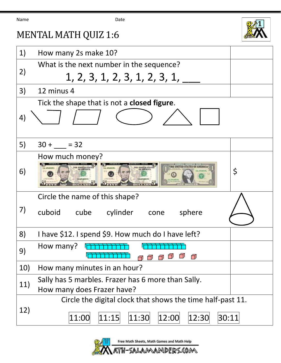| Name | Date |
|------|------|
|      |      |



## MENTAL MATH QUIZ 1:6

| 1)  | How many 2s make 10?                                                                     |    |
|-----|------------------------------------------------------------------------------------------|----|
| 2)  | What is the next number in the sequence?                                                 |    |
|     | 1, 2, 3, 1, 2, 3, 1, 2, 3, 1,                                                            |    |
| 3)  | 12 minus 4                                                                               |    |
|     | Tick the shape that is not a <b>closed figure</b> .                                      |    |
| 4)  |                                                                                          |    |
| 5)  | $30 + 32$                                                                                |    |
|     | How much money?                                                                          |    |
| 6)  |                                                                                          | \$ |
|     | Circle the name of this shape?                                                           |    |
| 7)  | cuboid cube cylinder cone<br>sphere                                                      |    |
| 8)  | I have \$12. I spend \$9. How much do I have left?                                       |    |
| 9)  | How many?<br>∩                                                                           |    |
| 10) | How many minutes in an hour?                                                             |    |
| 11) | Sally has 5 marbles. Frazer has 6 more than Sally.                                       |    |
|     | How many does Frazer have?<br>Circle the digital clock that shows the time half-past 11. |    |
|     |                                                                                          |    |
| 12) | 12:00 <br> 12:30 <br> 11:00 <br> 11:15 <br>30:11<br> 11:30                               |    |